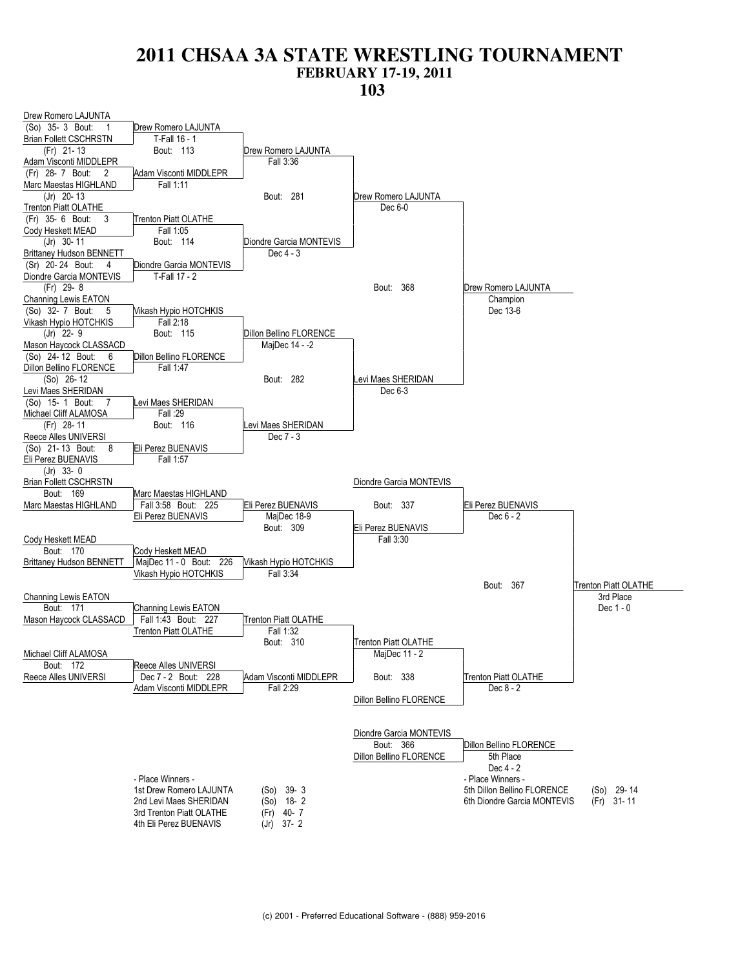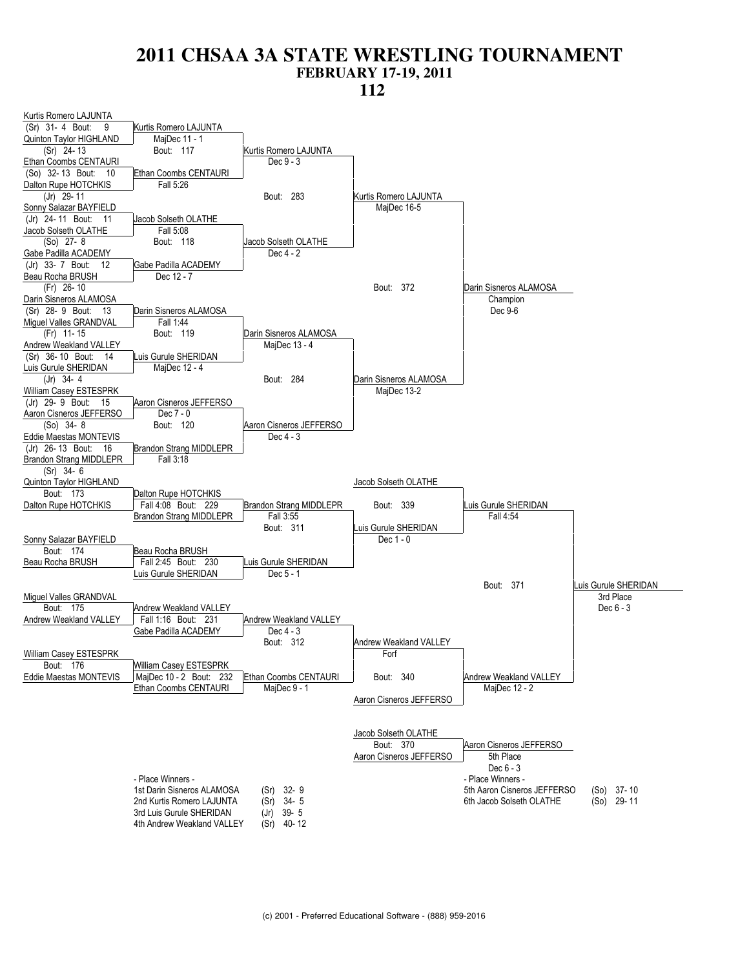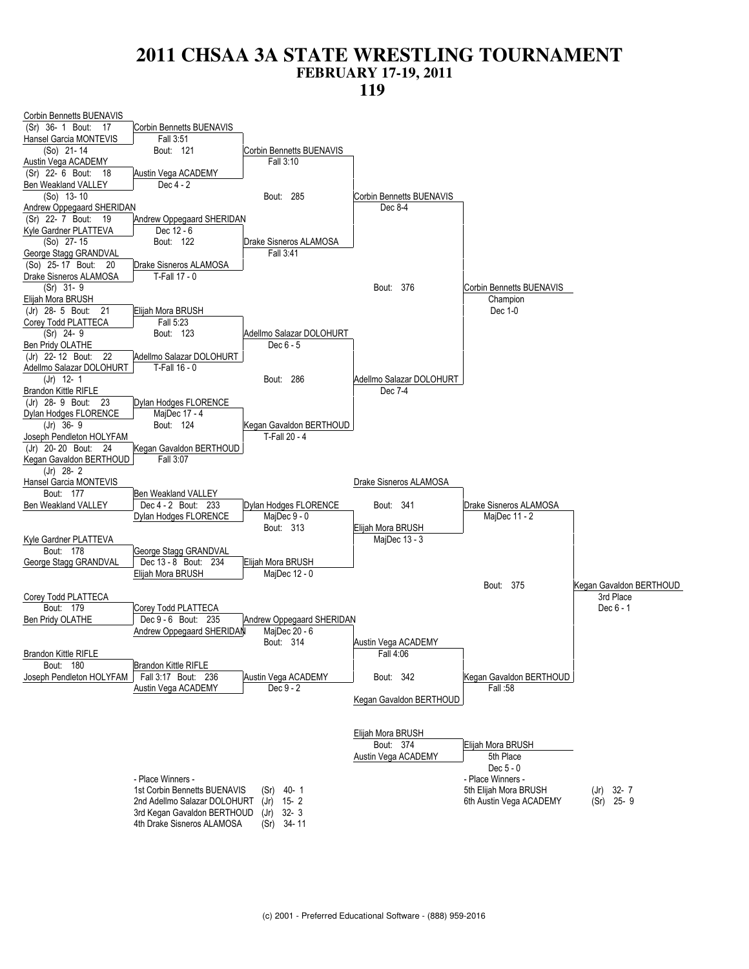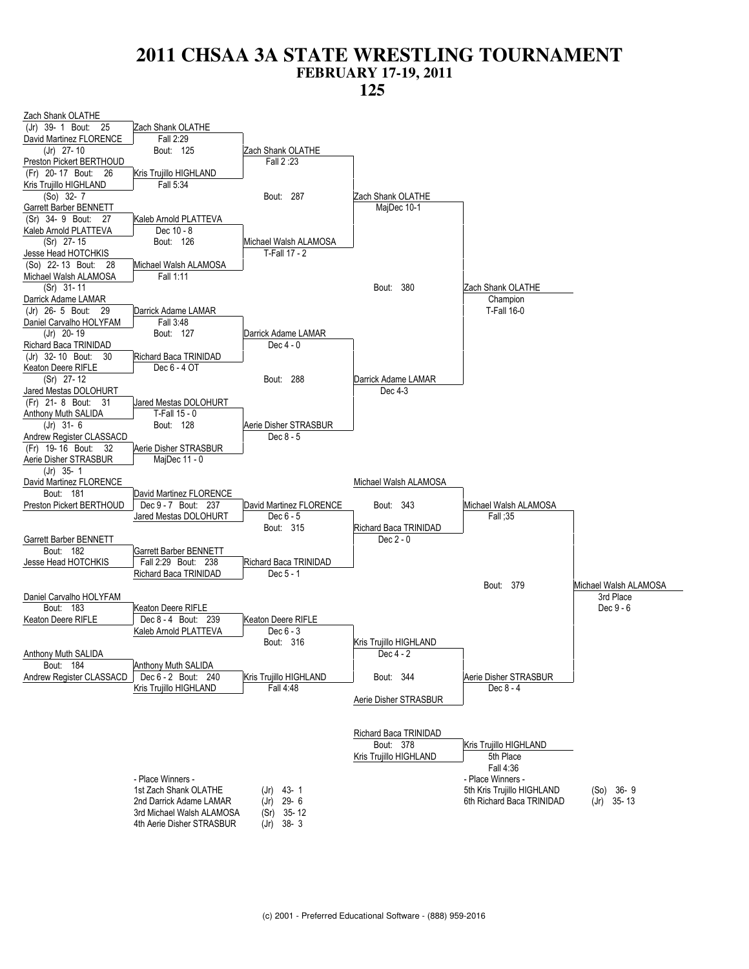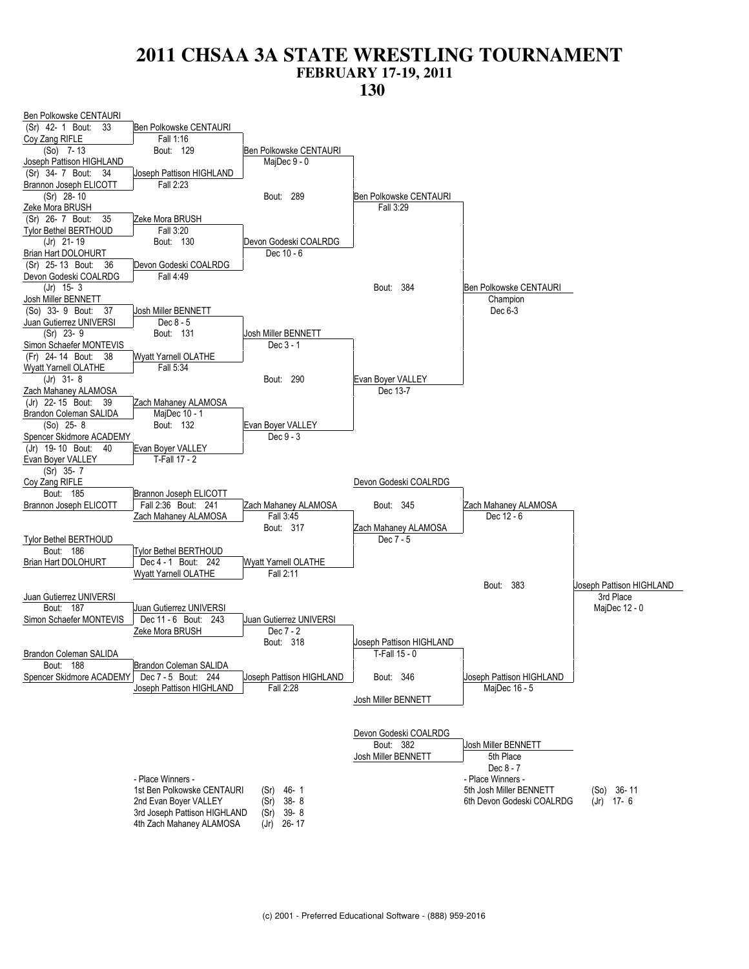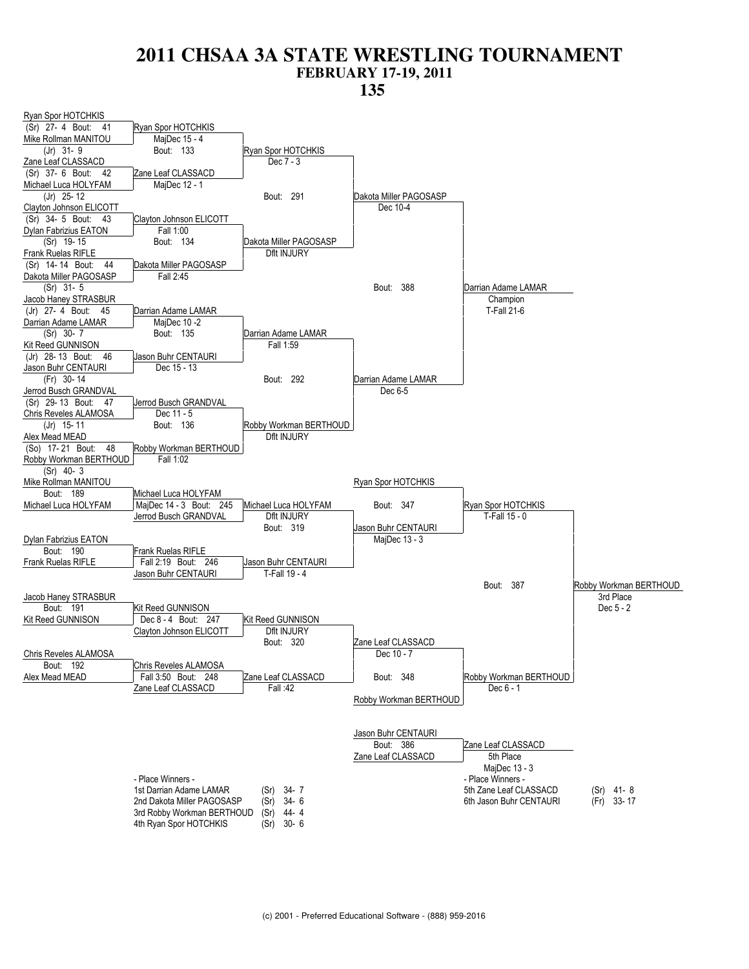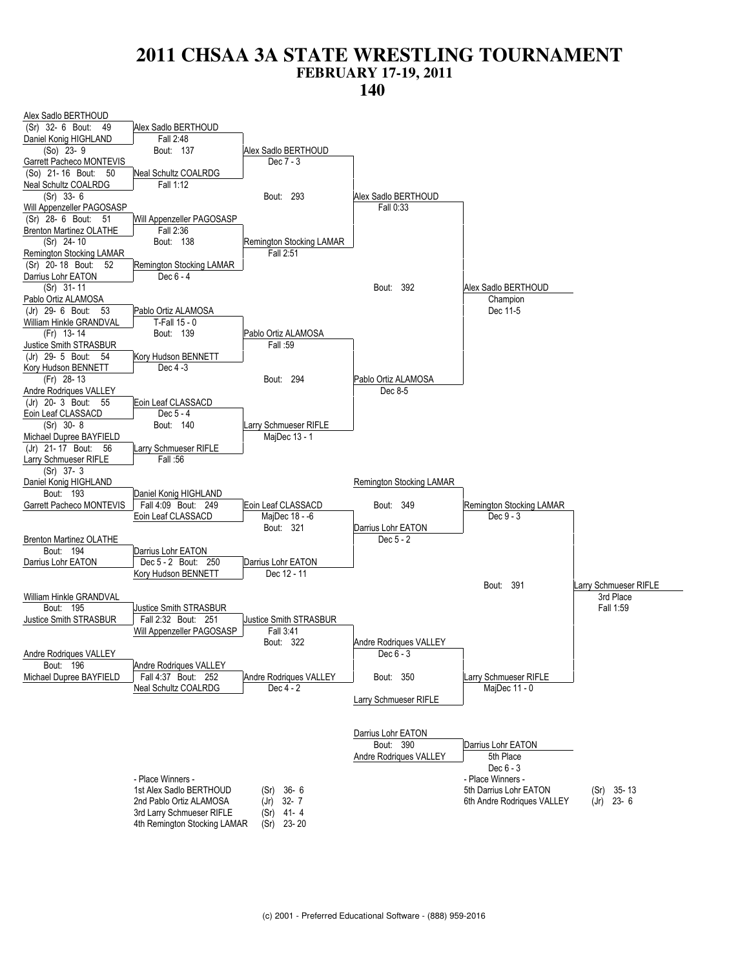![](_page_6_Figure_2.jpeg)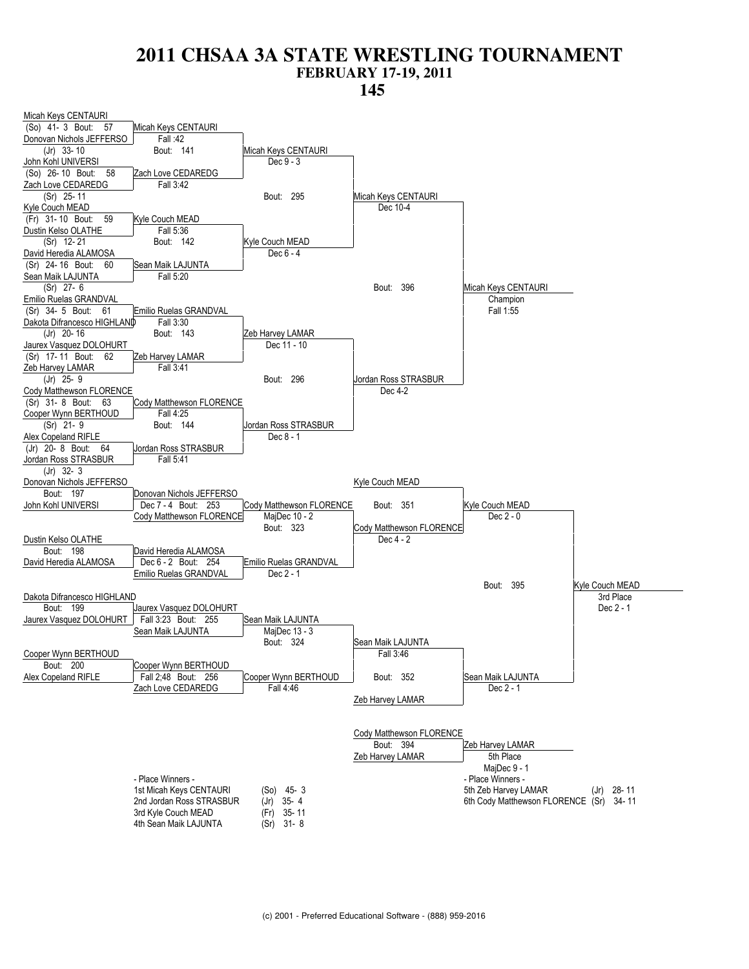![](_page_7_Figure_2.jpeg)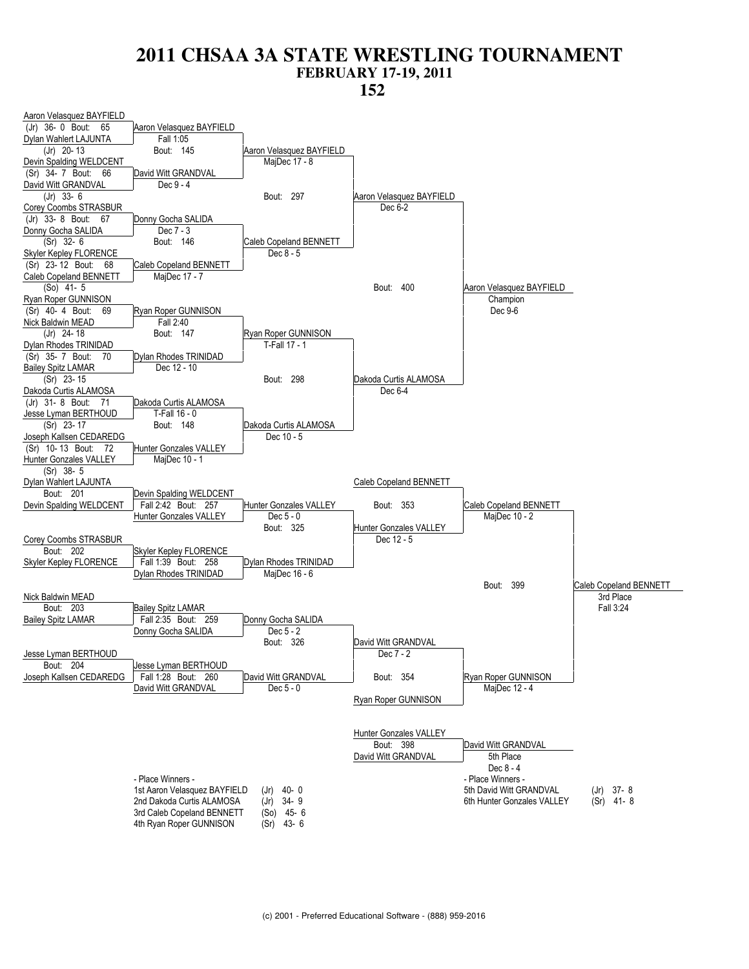![](_page_8_Figure_2.jpeg)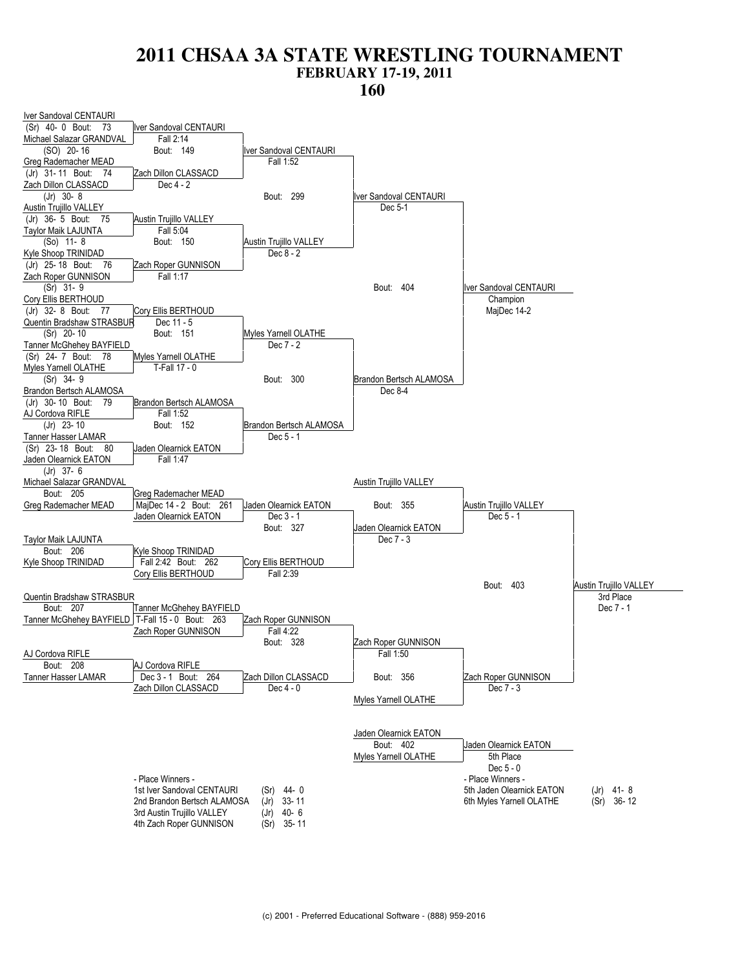![](_page_9_Figure_2.jpeg)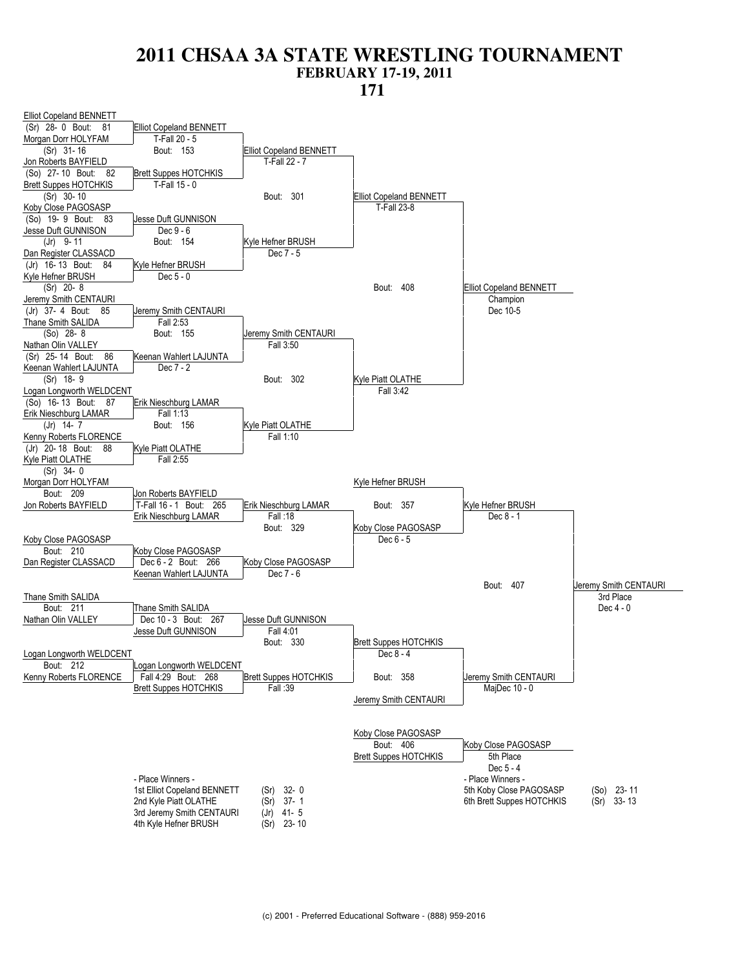![](_page_10_Figure_2.jpeg)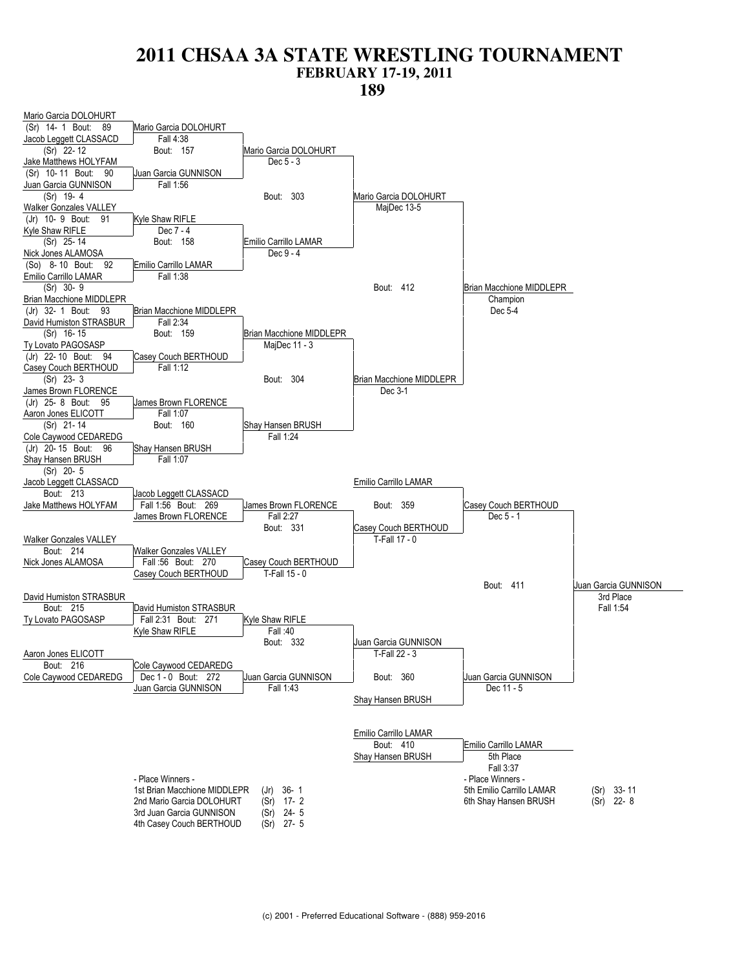![](_page_11_Figure_2.jpeg)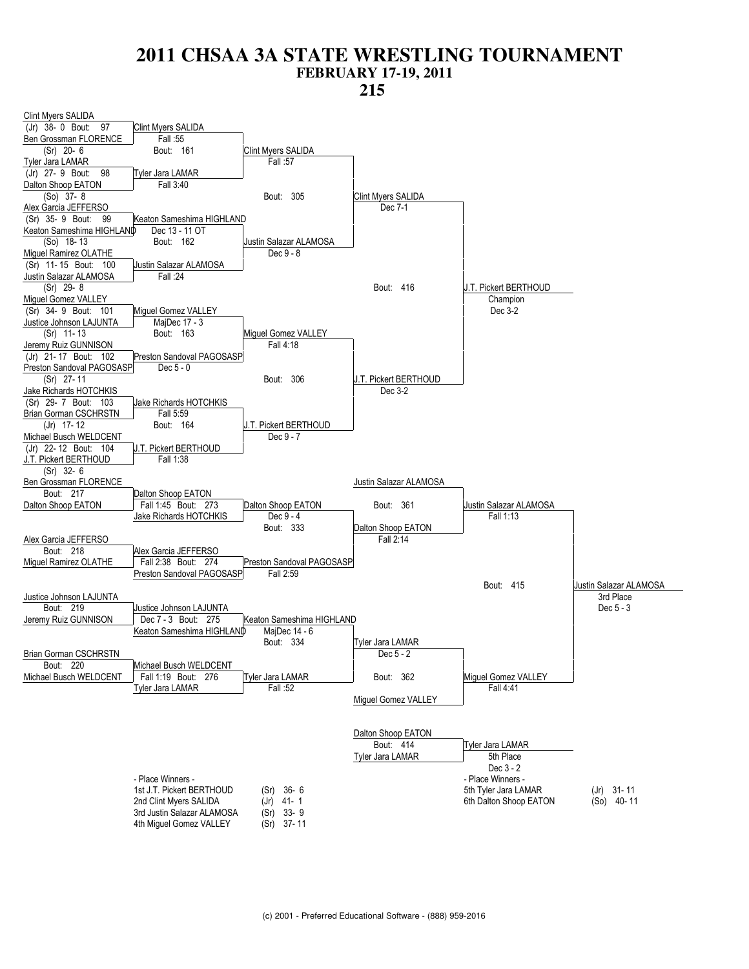![](_page_12_Figure_2.jpeg)